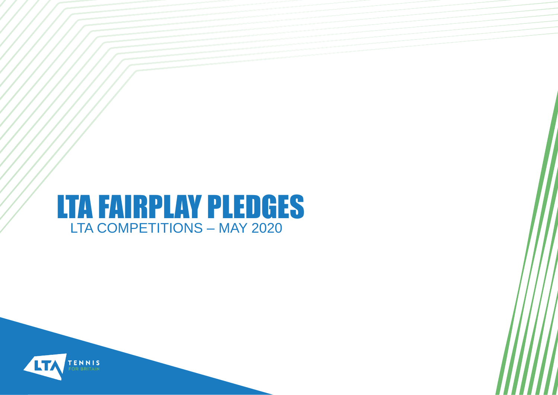#### LTA FAIRPLAY PLEDGES LTA COMPETITIONS – MAY 2020

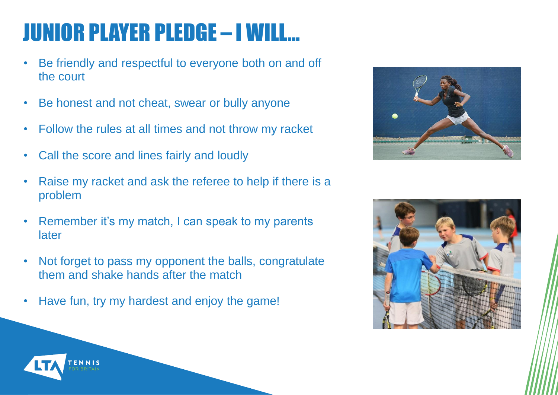# JUNIOR PLAYER PLEDGE – I WILL…

- Be friendly and respectful to everyone both on and off the court
- Be honest and not cheat, swear or bully anyone
- Follow the rules at all times and not throw my racket
- Call the score and lines fairly and loudly
- Raise my racket and ask the referee to help if there is a problem
- Remember it's my match, I can speak to my parents later
- Not forget to pass my opponent the balls, congratulate them and shake hands after the match
- Have fun, try my hardest and enjoy the game!





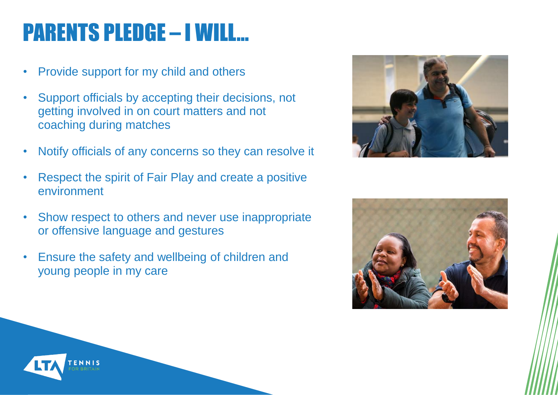### PARENTS PLEDGE – I WILL…

- Provide support for my child and others
- Support officials by accepting their decisions, not getting involved in on court matters and not coaching during matches
- Notify officials of any concerns so they can resolve it
- Respect the spirit of Fair Play and create a positive environment
- Show respect to others and never use inappropriate or offensive language and gestures
- Ensure the safety and wellbeing of children and young people in my care





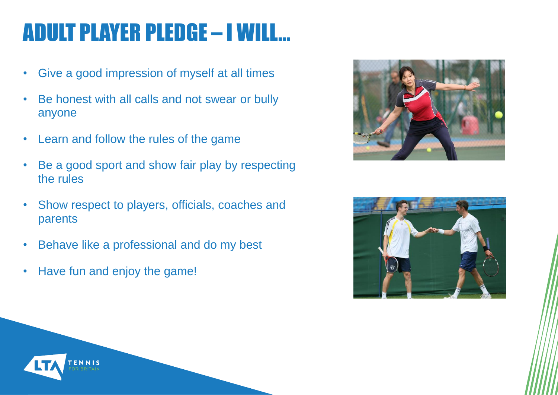## ADULT PLAYER PLEDGE – I WILL…

- Give a good impression of myself at all times
- Be honest with all calls and not swear or bully anyone
- Learn and follow the rules of the game
- Be a good sport and show fair play by respecting the rules
- Show respect to players, officials, coaches and parents
- Behave like a professional and do my best
- Have fun and enjoy the game!





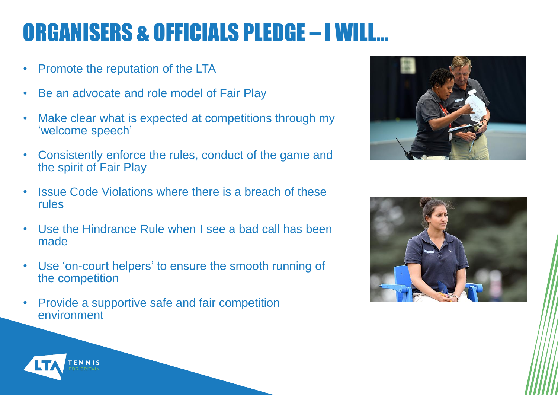## ORGANISERS & OFFICIALS PLEDGE – I WILL…

- Promote the reputation of the LTA
- Be an advocate and role model of Fair Play
- Make clear what is expected at competitions through my 'welcome speech'
- Consistently enforce the rules, conduct of the game and the spirit of Fair Play
- Issue Code Violations where there is a breach of these rules
- Use the Hindrance Rule when I see a bad call has been made
- Use 'on-court helpers' to ensure the smooth running of the competition
- Provide a supportive safe and fair competition environment





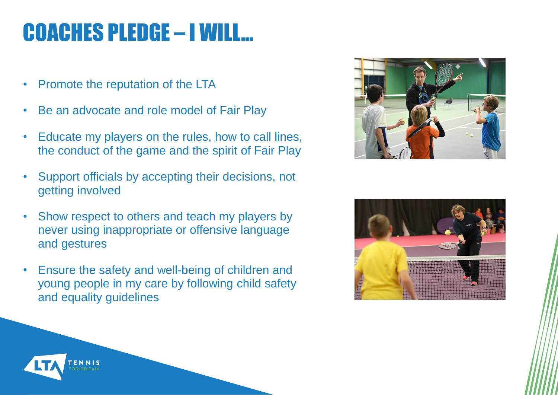#### COACHES PLEDGE – I WILL…

- Promote the reputation of the LTA
- Be an advocate and role model of Fair Play
- Educate my players on the rules, how to call lines, the conduct of the game and the spirit of Fair Play
- Support officials by accepting their decisions, not getting involved
- Show respect to others and teach my players by never using inappropriate or offensive language and gestures
- Ensure the safety and well-being of children and young people in my care by following child safety and equality guidelines